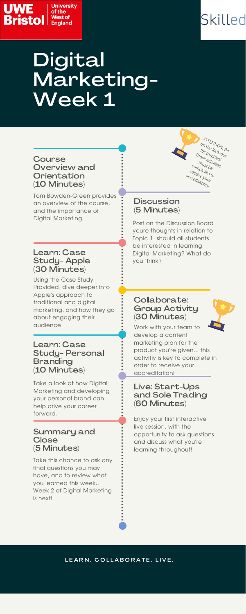Tom Bowden-Green provides an overview of the course, and the importance of Digital Marketing.

Take a look at how Digital Marketing and developing your personal brand can help drive your career forward.

## **Discussion** (5 Minutes)

Using the Case Study Provided, dive deeper into Apple's approach to traditional and digital marketing, and how they go about engaging their audience

Take this chance to ask any final questions you may have, and to review what you learned this week.. Week 2 of Digital Marketing is next!

#### **Course** Overview and **Orientation** (10 Minutes)

### Learn: Case Study- Apple (30 Minutes)

### Collaborate: Group Activity (30 Minutes)

Post on the Discussion Board youre thoughts in relation to Topic 1- should all students be interested in learning Digital Marketing? What do you think?

Enjoy your first interactive live session, with the opportunity to ask questions and discuss what you're learning throughout!

#### LEARN. COLLABORATE. LIVE.

Work with your team to develop a content marketing plan for the product you're given... this activitiy is key to complete in order to receive your



#### accreditation!

Learn: Case Study- Personal Branding

#### (10 Minutes)

#### Live: Start-Ups and Sole Trading (60 Minutes)

#### Summary and **Close** (5 Minutes)





ATTENTION: Be on the look-out

for trophies!<br>hese activities!<br>must he These activities!<br>must be activities<br>must be

completed to receive your accreditation!

# Digital Marketing- Week 1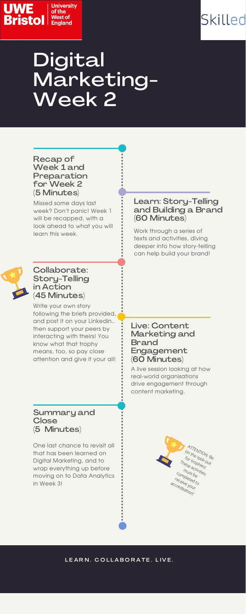



# Digital Marketing- Week 2

Missed some days last week? Don't panic! Week 1 will be recapped, with a look ahead to what you will learn this week.

One last chance to revisit all that has been learned on Digital Marketing, and to wrap everything up before moving on to Data Analytics in Week 3!

Write your own story following the briefs provided, and post it on your Linkedin.. then support your peers by interacting with theirs! You know what that trophy means, too, so pay close attention and give it your all!

### Learn: Story-Telling and Building a Brand (60 Minutes)

### Collaborate: Story-Telling in Action (45 Minutes)

Live: Content Marketing and Brand Engagement (60 Minutes)

Work through a series of texts and activities, diving deeper into how story-telling can help build your brand!



A live session looking at how real-world organisations drive engagement through content marketing.

#### Recap of Week 1 and Preparation for Week 2 (5 Minutes)

Summary and **Close** (5 Minutes)



#### L E A R N . C O L L A B O R A T E . L I V E .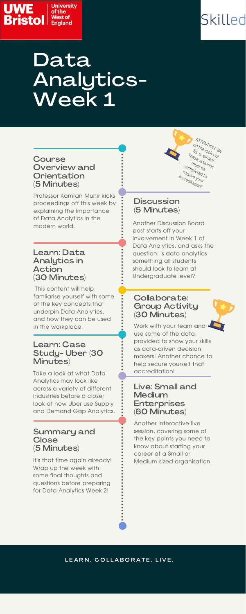# Data Analytics- Week 1

Professor Kamran Munir kicks proceedings off this week by explaining the importance of Data Analytics in the modern world.

Take a look at what Data Analytics may look like across a variety of different industries before a closer look at how Uber use Supply and Demand Gap Analytics.

## **Discussion** (5 Minutes)

This content will help famliarise yourself with some of the key concepts that underpin Data Analytics, and how they can be used in the workplace.

It's that time again already! Wrap up the week with some final thoughts and questions before preparing for Data Analytics Week 2!

Work with your team and  $\cdot$ use some of the data provided to show your skills as data-driven decision makers! Another chance to help secure yourself that

#### **Course** Overview and **Orientation** (5 Minutes)

#### Learn: Data Analytics in Action (30 Minutes)

## Collaborate: Group Activity (30 Minutes)

Another Discussion Board post starts off your involvement in Week 1 of Data Analytics, and asks the question: is data analytics something all students should look to learn at Undergraduate level?

Another interactive live session, covering some of the key points you need to know about starting your career at a Small or Medium-sized organisation.

#### LEARN. COLLABORATE. LIVE.

accreditation!

Learn: Case Study- Uber (30 Minutes)

#### Live: Small and **Medium** Enterprises (60 Minutes)

#### Summary and **Close** (5 Minutes)





ATTENTION: Be on the look-out

for trophies!<br>hese activities!<br>must be These activities!<br>must be activities<br>must be

completed to receive your accreditation!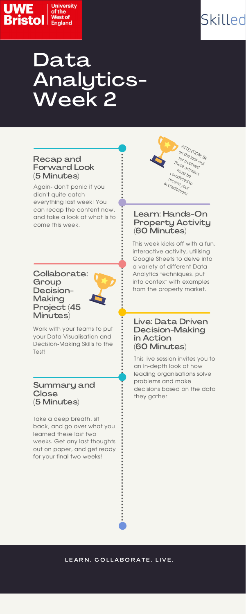



# Data Analytics- Week 2

Again- don't panic if you didn't quite catch everything last week! You can recap the content now, and take a look at what is to come this week.

Take a deep breath, sit back, and go over what you learned these last two weeks. Get any last thoughts out on paper, and get ready for your final two weeks!

#### LEARN. COLLABORATE. LIVE.

Work with your teams to put your Data Visualisation and Decision-Making Skills to the Test!

#### Learn: Hands-On Property Activity (60 Minutes)

Collaborate: **Group** Decision- Making Project (45 Minutes)

#### Live: Data Driven Decision-Making in Action (60 Minutes)

This week kicks off with a fun, interactive activity, utilising Google Sheets to delve into a variety of different Data Analytics techniques, put into context with examples from the property market.

This live session invites you to an in-depth look at how leading organisations solve problems and make decisions based on the data they gather

#### Recap and Forward Look (5 Minutes)

#### Summary and **Close** (5 Minutes)

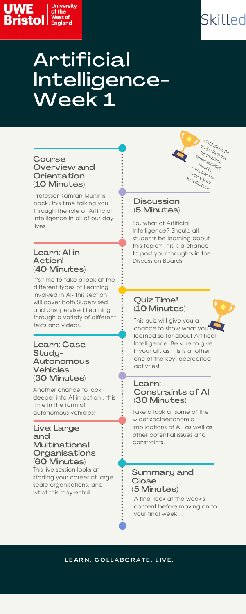# Artificial Intelligence- Week 1

Professor Kamran Munir is back, this time talking you through the role of Artificial Intelligence in all of our day lives.

Another chance to look deeper into AI in action.. this time in the form of autonomous vehicles!

### **Discussion** (5 Minutes)

It's time to take a look at the different types of Learning involved in AI- this section will cover both Supervised and Unsupervised Learning through a variety of different texts and videos.

This live session looks at starting your career at largescale organisations, and what this may entail.

#### **Course** Overview and **Orientation** (10 Minutes)

#### Learn: AI in Action! (40 Minutes)

# Quiz Time! (10 Minutes)

So, what of Artificial Intelligence? Should all students be learning about this topic? This is a chance to post your thoughts in the Discussion Boards!

Take a look at some of the wider socioeconomic implications of AI, as well as other potential issues and constraints.

This quiz will give you a chance to show what you learned so far about Artifical Intelligence. Be sure to give it your all, as this is another one of the key, accredited activties!

Learn: Case Study-Autonomous

#### Vehicles (30 Minutes)

#### Learn: Constraints of AI (30 Minutes)

#### Live: Large and **Multinational Organisations** (60 Minutes)

#### Summary and **Close** (5 Minutes)

A final look at the week's content before moving on to your final week!

#### LEARN. COLLABORATE. LIVE.





ATTENTION: Be on the look-out

for trophies!<br>hese activities!<br>must be These activities!<br>Must activities!<br>must be

completed to receive your accreditation!